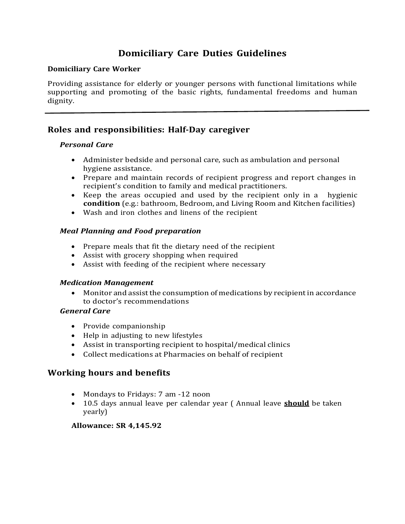# **Domiciliary Care Duties Guidelines**

#### **Domiciliary Care Worker**

Providing assistance for elderly or younger persons with functional limitations while supporting and promoting of the basic rights, fundamental freedoms and human dignity.

### **Roles and responsibilities: Half-Day caregiver**

#### *Personal Care*

- Administer bedside and personal care, such as ambulation and personal hygiene assistance.
- Prepare and maintain records of recipient progress and report changes in recipient's condition to family and medical practitioners.
- Keep the areas occupied and used by the recipient only in a hygienic **condition** (e.g.: bathroom, Bedroom, and Living Room and Kitchen facilities)
- Wash and iron clothes and linens of the recipient

#### *Meal Planning and Food preparation*

- Prepare meals that fit the dietary need of the recipient
- Assist with grocery shopping when required
- Assist with feeding of the recipient where necessary

#### *Medication Management*

 Monitor and assistthe consumption of medications by recipient in accordance to doctor's recommendations

#### *General Care*

- Provide companionship
- Help in adjusting to new lifestyles
- Assist in transporting recipient to hospital/medical clinics
- Collect medications at Pharmacies on behalf of recipient

### **Working hours and benefits**

- Mondays to Fridays: 7 am -12 noon
- 10.5 days annual leave per calendar year ( Annual leave **should** be taken yearly)

#### **Allowance: SR 4,145.92**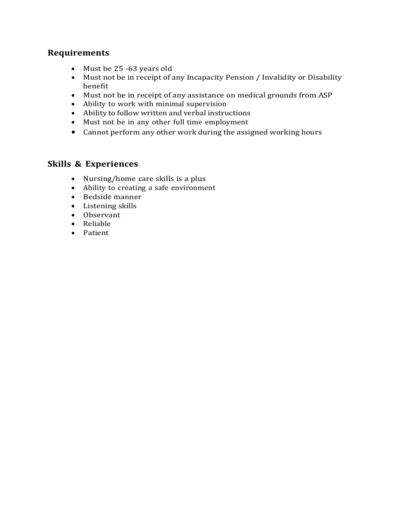## **Requirements**

- Must be 25 -63 years old
- Must not be in receipt of any Incapacity Pension / Invalidity or Disability benefit
- Must not be in receipt of any assistance on medical grounds from ASP
- Ability to work with minimal supervision
- Ability to follow written and verbal instructions
- Must not be in any other full time employment
- Cannot perform any other work during the assigned working hours

## **Skills & Experiences**

- Nursing/home care skills is a plus
- Ability to creating a safe environment
- Bedside manner
- Listening skills
- Observant
- Reliable
- Patient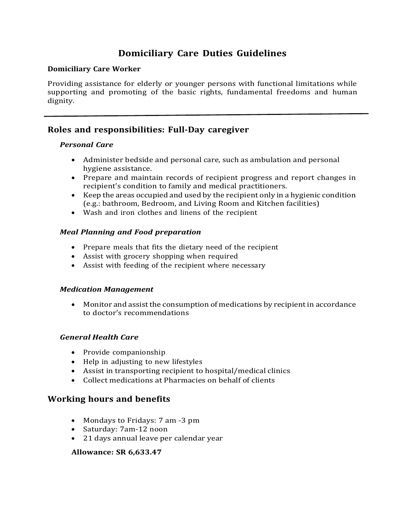# **Domiciliary Care Duties Guidelines**

#### **Domiciliary Care Worker**

Providing assistance for elderly or younger persons with functional limitations while supporting and promoting of the basic rights, fundamental freedoms and human dignity.

### **Roles and responsibilities: Full-Day caregiver**

#### *Personal Care*

- Administer bedside and personal care, such as ambulation and personal hygiene assistance.
- Prepare and maintain records of recipient progress and report changes in recipient's condition to family and medical practitioners.
- Keep the areas occupied and used by the recipient only in a hygienic condition (e.g.: bathroom, Bedroom, and Living Room and Kitchen facilities)
- Wash and iron clothes and linens of the recipient

#### *Meal Planning and Food preparation*

- Prepare meals that fits the dietary need of the recipient
- Assist with grocery shopping when required
- Assist with feeding of the recipient where necessary

#### *Medication Management*

 Monitor and assistthe consumption of medications by recipient in accordance to doctor's recommendations

### *General Health Care*

- Provide companionship
- Help in adjusting to new lifestyles
- Assist in transporting recipient to hospital/medical clinics
- Collect medications at Pharmacies on behalf of clients

### **Working hours and benefits**

- Mondays to Fridays: 7 am -3 pm
- Saturday: 7am-12 noon
- 21 days annual leave per calendar year

#### **Allowance: SR 6,633.47**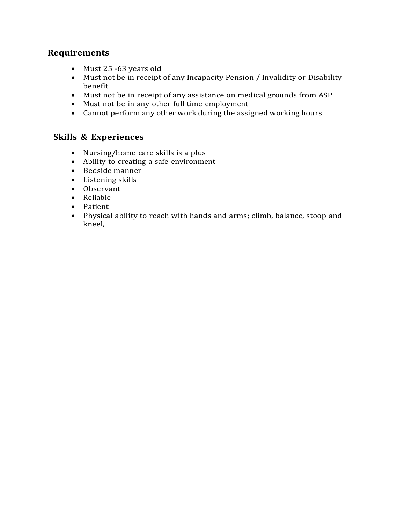## **Requirements**

- Must 25 -63 years old
- Must not be in receipt of any Incapacity Pension / Invalidity or Disability benefit
- Must not be in receipt of any assistance on medical grounds from ASP
- Must not be in any other full time employment
- Cannot perform any other work during the assigned working hours

### **Skills & Experiences**

- Nursing/home care skills is a plus
- Ability to creating a safe environment
- Bedside manner
- Listening skills
- Observant
- Reliable
- Patient
- Physical ability to reach with hands and arms; climb, balance, stoop and kneel,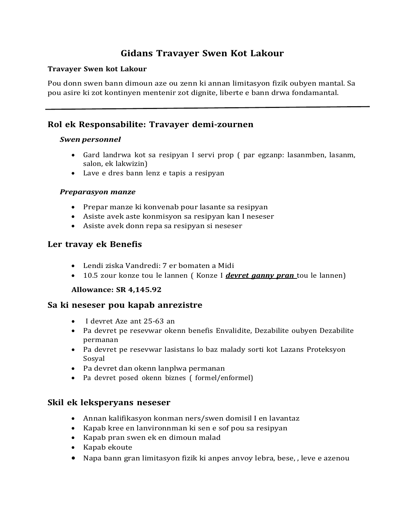# **Gidans Travayer Swen Kot Lakour**

#### **Travayer Swen kot Lakour**

Pou donn swen bann dimoun aze ou zenn ki annan limitasyon fizik oubyen mantal. Sa pou asire ki zot kontinyen mentenir zot dignite, liberte e bann drwa fondamantal.

## **Rol ek Responsabilite: Travayer demi-zournen**

#### *Swen personnel*

- Gard landrwa kot sa resipyan I servi prop ( par egzanp: lasanmben, lasanm, salon, ek lakwizin)
- Lave e dres bann lenz e tapis a resipyan

### *Preparasyon manze*

- Prepar manze ki konvenab pour lasante sa resipyan
- Asiste avek aste konmisyon sa resipyan kan I neseser
- Asiste avek donn repa sa resipyan si neseser

### **Ler travay ek Benefis**

- Lendi ziska Vandredi: 7 er bomaten a Midi
- 10.5 zour konze tou le lannen ( Konze I *devret ganny pran* tou le lannen)

#### **Allowance: SR 4,145.92**

### **Sa ki neseser pou kapab anrezistre**

- I devret Aze ant 25-63 an
- Pa devret pe resevwar okenn benefis Envalidite, Dezabilite oubyen Dezabilite permanan
- Pa devret pe resevwar lasistans lo baz malady sorti kot Lazans Proteksyon Sosyal
- Pa devret dan okenn lanplwa permanan
- Pa devret posed okenn biznes ( formel/enformel)

### **Skil ek leksperyans neseser**

- Annan kalifikasyon konman ners/swen domisil I en lavantaz
- Kapab kree en lanvironnman ki sen e sof pou sa resipyan
- Kapab pran swen ek en dimoun malad
- Kapab ekoute
- Napa bann gran limitasyon fizik ki anpes anvoy lebra, bese, , leve e azenou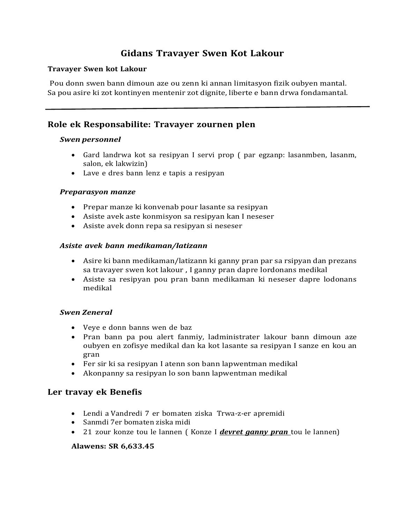# **Gidans Travayer Swen Kot Lakour**

#### **Travayer Swen kot Lakour**

Pou donn swen bann dimoun aze ou zenn ki annan limitasyon fizik oubyen mantal. Sa pou asire ki zot kontinyen mentenir zot dignite, liberte e bann drwa fondamantal.

### **Role ek Responsabilite: Travayer zournen plen**

#### *Swen personnel*

- Gard landrwa kot sa resipyan I servi prop ( par egzanp: lasanmben, lasanm, salon, ek lakwizin)
- Lave e dres bann lenz e tapis a resipyan

#### *Preparasyon manze*

- Prepar manze ki konvenab pour lasante sa resipyan
- Asiste avek aste konmisyon sa resipyan kan I neseser
- Asiste avek donn repa sa resipyan si neseser

#### *Asiste avek bann medikaman/latizann*

- Asire ki bann medikaman/latizann ki ganny pran par sa rsipyan dan prezans sa travayer swen kot lakour , I ganny pran dapre lordonans medikal
- Asiste sa resipyan pou pran bann medikaman ki neseser dapre lodonans medikal

#### *Swen Zeneral*

- Veye e donn banns wen de baz
- Pran bann pa pou alert fanmiy, ladministrater lakour bann dimoun aze oubyen en zofisye medikal dan ka kot lasante sa resipyan I sanze en kou an gran
- Fer sir ki sa resipyan I atenn son bann lapwentman medikal
- Akonpanny sa resipyan lo son bann lapwentman medikal

#### **Ler travay ek Benefis**

- Lendi a Vandredi 7 er bomaten ziska Trwa-z-er apremidi
- Sanmdi 7er bomaten ziska midi
- 21 zour konze tou le lannen ( Konze I *devret ganny pran* tou le lannen)

#### **Alawens: SR 6,633.45**